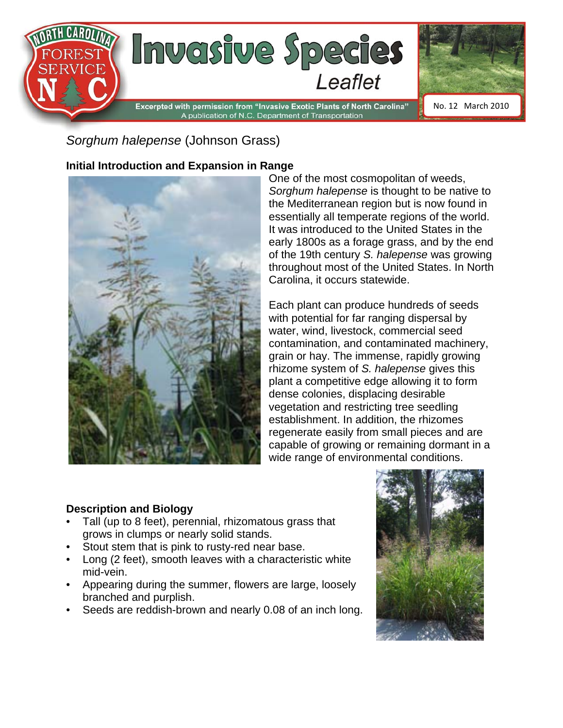

*Sorghum halepense* (Johnson Grass)

### **Initial Introduction and Expansion in Range**



One of the most cosmopolitan of weeds, *Sorghum halepense* is thought to be native to the Mediterranean region but is now found in essentially all temperate regions of the world. It was introduced to the United States in the early 1800s as a forage grass, and by the end of the 19th century *S. halepense* was growing throughout most of the United States. In North Carolina, it occurs statewide.

Each plant can produce hundreds of seeds with potential for far ranging dispersal by water, wind, livestock, commercial seed contamination, and contaminated machinery, grain or hay. The immense, rapidly growing rhizome system of *S. halepense* gives this plant a competitive edge allowing it to form dense colonies, displacing desirable vegetation and restricting tree seedling establishment. In addition, the rhizomes regenerate easily from small pieces and are capable of growing or remaining dormant in a wide range of environmental conditions.

#### **Description and Biology**

- Tall (up to 8 feet), perennial, rhizomatous grass that grows in clumps or nearly solid stands.
- Stout stem that is pink to rusty-red near base.
- Long (2 feet), smooth leaves with a characteristic white mid-vein.
- Appearing during the summer, flowers are large, loosely branched and purplish.
- Seeds are reddish-brown and nearly 0.08 of an inch long.